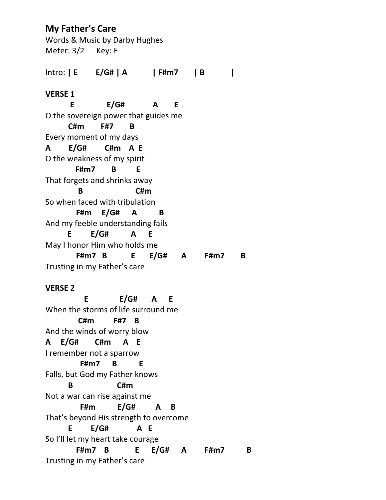# **My Father's Care**

Words & Music by Darby Hughes Meter: 3/2 Key: E

Intro: **| E E/G# | A | F#m7 | B | VERSE 1 E E/G# A E** O the sovereign power that guides me **C#m F#7 B** Every moment of my days **A E/G# C#m A E** O the weakness of my spirit  **F#m7 B E** That forgets and shrinks away  **B C#m** So when faced with tribulation  **F#m E/G# A B** And my feeble understanding fails  **E E/G# A E** May I honor Him who holds me  **F#m7 B E E/G# A F#m7 B** Trusting in my Father's care

## **VERSE 2**

 **E E/G# A E** When the storms of life surround me **C#m F#7 B** And the winds of worry blow **A E/G# C#m A E** I remember not a sparrow **F#m7 B E** Falls, but God my Father knows **B C#m** Not a war can rise against me **F#m E/G# A B** That's beyond His strength to overcome **E E/G# A E** So I'll let my heart take courage **F#m7 B E E/G# A F#m7 B** Trusting in my Father's care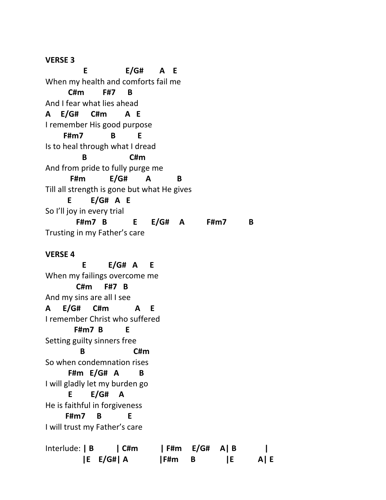#### **VERSE 3**

 **E E/G# A E** When my health and comforts fail me **C#m F#7 B** And I fear what lies ahead **A E/G# C#m A E** I remember His good purpose **F#m7 B E** Is to heal through what I dread **B C#m** And from pride to fully purge me **F#m E/G# A B** Till all strength is gone but what He gives **E E/G# A E** So I'll joy in every trial **F#m7 B E E/G# A F#m7 B** Trusting in my Father's care

#### **VERSE 4**

 **E E/G# A E**  When my failings overcome me **C#m F#7 B** And my sins are all I see **A E/G# C#m A E** I remember Christ who suffered **F#m7 B E** Setting guilty sinners free **B C#m** So when condemnation rises **F#m E/G# A B** I will gladly let my burden go **E E/G# A** He is faithful in forgiveness **F#m7 B E** I will trust my Father's care Interlude: **| B | C#m | F#m E/G# A| B | |E E/G#| A |F#m B |E A| E**